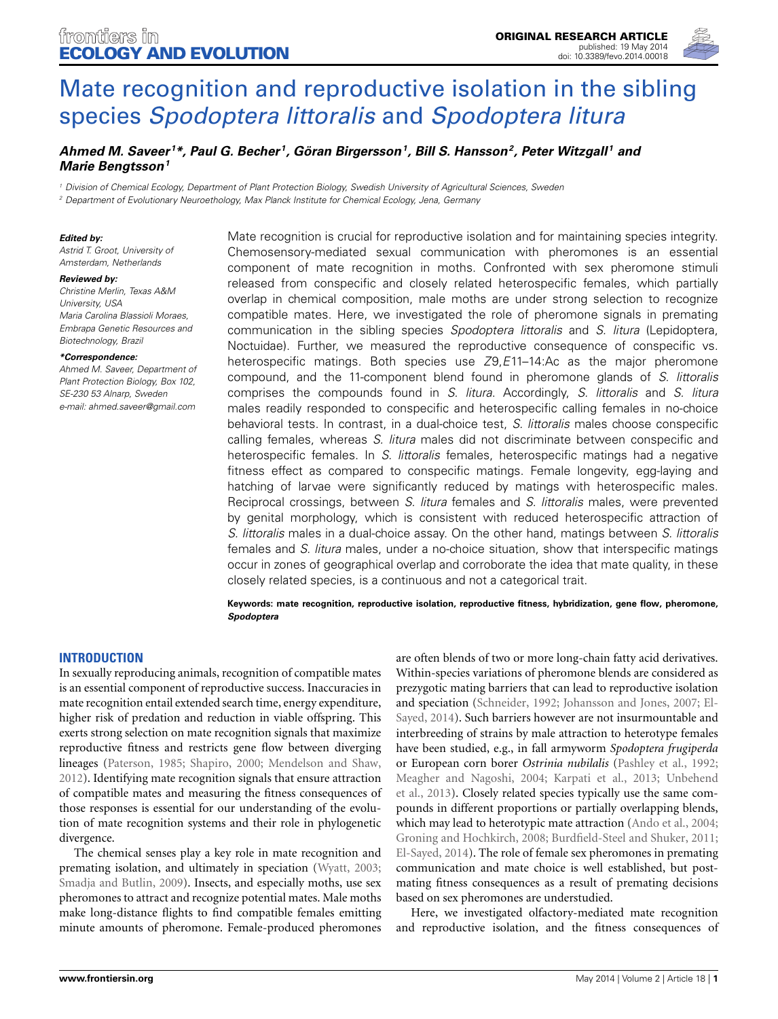

# [Mate recognition and reproductive isolation in the sibling](http://www.frontiersin.org/journal/10.3389/fevo.2014.00018/abstract) species *Spodoptera littoralis* and *Spodoptera litura*

# *[Ahmed M. Saveer](http://community.frontiersin.org/people/u/147532) <sup>1</sup> \*, [Paul G. Becher](http://community.frontiersin.org/people/u/133948) 1, [Göran Birgersson](http://community.frontiersin.org/people/u/139870)1, [Bill S. Hansson2](http://community.frontiersin.org/people/u/4641), [Peter Witzgall](http://community.frontiersin.org/people/u/103246) <sup>1</sup> and [Marie Bengtsson](http://community.frontiersin.org/people/u/147868)1*

*<sup>1</sup> Division of Chemical Ecology, Department of Plant Protection Biology, Swedish University of Agricultural Sciences, Sweden*

*<sup>2</sup> Department of Evolutionary Neuroethology, Max Planck Institute for Chemical Ecology, Jena, Germany*

#### *Edited by:*

*Astrid T. Groot, University of Amsterdam, Netherlands*

#### *Reviewed by:*

*Christine Merlin, Texas A&M University, USA Maria Carolina Blassioli Moraes, Embrapa Genetic Resources and Biotechnology, Brazil*

#### *\*Correspondence:*

*Ahmed M. Saveer, Department of Plant Protection Biology, Box 102, SE-230 53 Alnarp, Sweden e-mail: [ahmed.saveer@gmail.com](mailto:ahmed.saveer@gmail.com)*

Mate recognition is crucial for reproductive isolation and for maintaining species integrity. Chemosensory-mediated sexual communication with pheromones is an essential component of mate recognition in moths. Confronted with sex pheromone stimuli released from conspecific and closely related heterospecific females, which partially overlap in chemical composition, male moths are under strong selection to recognize compatible mates. Here, we investigated the role of pheromone signals in premating communication in the sibling species *Spodoptera littoralis* and *S. litura* (Lepidoptera, Noctuidae). Further, we measured the reproductive consequence of conspecific vs. heterospecific matings. Both species use *Z*9,*E*11–14:Ac as the major pheromone compound, and the 11-component blend found in pheromone glands of *S. littoralis* comprises the compounds found in *S. litura*. Accordingly, *S. littoralis* and *S. litura* males readily responded to conspecific and heterospecific calling females in no-choice behavioral tests. In contrast, in a dual-choice test, *S. littoralis* males choose conspecific calling females, whereas *S. litura* males did not discriminate between conspecific and heterospecific females. In *S. littoralis* females, heterospecific matings had a negative fitness effect as compared to conspecific matings. Female longevity, egg-laying and hatching of larvae were significantly reduced by matings with heterospecific males. Reciprocal crossings, between *S. litura* females and *S. littoralis* males, were prevented by genital morphology, which is consistent with reduced heterospecific attraction of *S. littoralis* males in a dual-choice assay. On the other hand, matings between *S. littoralis* females and *S. litura* males, under a no-choice situation, show that interspecific matings occur in zones of geographical overlap and corroborate the idea that mate quality, in these closely related species, is a continuous and not a categorical trait.

**Keywords: mate recognition, reproductive isolation, reproductive fitness, hybridization, gene flow, pheromone,** *Spodoptera*

## **INTRODUCTION**

In sexually reproducing animals, recognition of compatible mates is an essential component of reproductive success. Inaccuracies in mate recognition entail extended search time, energy expenditure, higher risk of predation and reduction in viable offspring. This exerts strong selection on mate recognition signals that maximize reproductive fitness and restricts gene flow between diverging lineages [\(Paterson](#page-5-0), [1985;](#page-5-0) [Shapiro](#page-5-1), [2000](#page-5-1); [Mendelson and Shaw,](#page-5-2) [2012](#page-5-2)). Identifying mate recognition signals that ensure attraction of compatible mates and measuring the fitness consequences of those responses is essential for our understanding of the evolution of mate recognition systems and their role in phylogenetic divergence.

The chemical senses play a key role in mate recognition and premating isolation, and ultimately in speciation [\(Wyatt, 2003;](#page-5-3) [Smadja and Butlin, 2009](#page-5-4)). Insects, and especially moths, use sex pheromones to attract and recognize potential mates. Male moths make long-distance flights to find compatible females emitting minute amounts of pheromone. Female-produced pheromones

are often blends of two or more long-chain fatty acid derivatives. Within-species variations of pheromone blends are considered as prezygotic mating barriers that can lead to reproductive isolation and s[peciation](#page-5-7) [\(Schneider](#page-5-5)[,](#page-5-7) [1992](#page-5-5)[;](#page-5-7) [Johansson and Jones](#page-5-6)[,](#page-5-7) [2007;](#page-5-6) El-Sayed, [2014\)](#page-5-7). Such barriers however are not insurmountable and interbreeding of strains by male attraction to heterotype females have been studied, e.g., in fall armyworm *Spodoptera frugiperda* or European corn borer *Ostrinia nubilalis* [\(Pashley et al., 1992;](#page-5-8) [Meagher and Nagoshi](#page-5-9)[,](#page-5-11) [2004](#page-5-9)[;](#page-5-11) [Karpati et al., 2013](#page-5-10)[;](#page-5-11) Unbehend et al., [2013](#page-5-11)). Closely related species typically use the same compounds in different proportions or partially overlapping blends, which may lead to heterotypic mate attraction [\(Ando et al., 2004;](#page-4-0) [Groning and Hochkirch, 2008;](#page-5-12) [Burdfield-Steel and Shuker, 2011;](#page-4-1) [El-Sayed, 2014\)](#page-5-7). The role of female sex pheromones in premating communication and mate choice is well established, but postmating fitness consequences as a result of premating decisions based on sex pheromones are understudied.

Here, we investigated olfactory-mediated mate recognition and reproductive isolation, and the fitness consequences of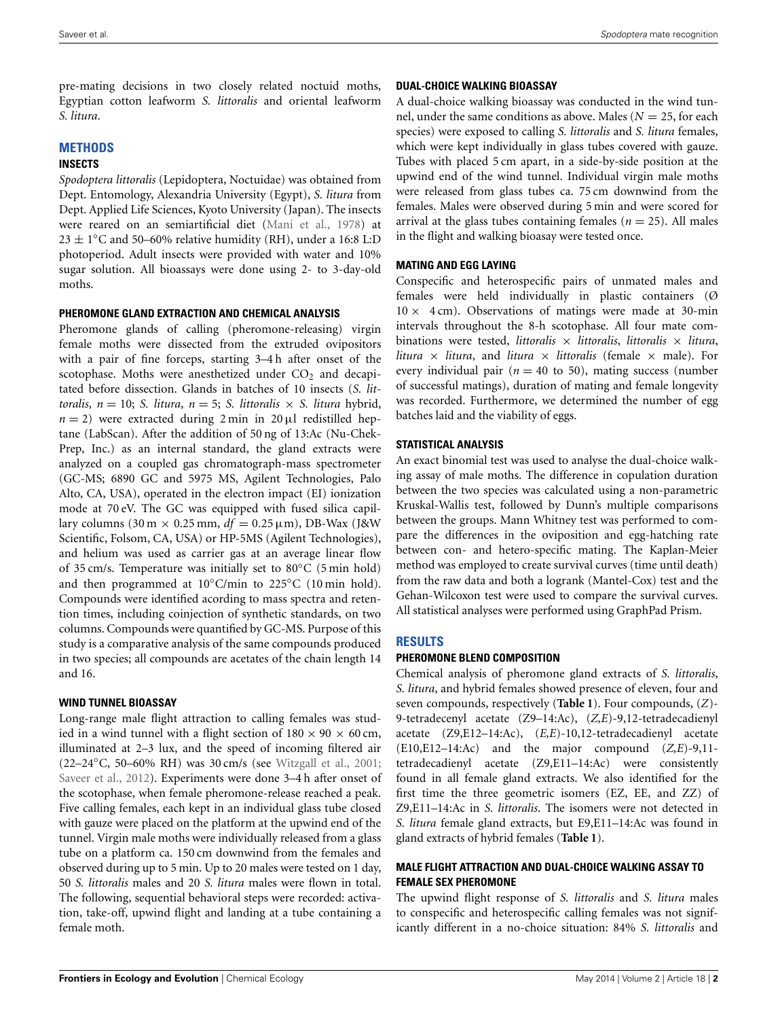pre-mating decisions in two closely related noctuid moths, Egyptian cotton leafworm *S. littoralis* and oriental leafworm *S. litura*.

#### **METHODS**

#### **INSECTS**

*Spodoptera littoralis* (Lepidoptera, Noctuidae) was obtained from Dept. Entomology, Alexandria University (Egypt), *S. litura* from Dept. Applied Life Sciences, Kyoto University (Japan). The insects were reared on an semiartificial diet [\(Mani et al.](#page-5-13), [1978](#page-5-13)) at  $23 \pm 1$ °C and 50–60% relative humidity (RH), under a 16:8 L:D photoperiod. Adult insects were provided with water and 10% sugar solution. All bioassays were done using 2- to 3-day-old moths.

#### **PHEROMONE GLAND EXTRACTION AND CHEMICAL ANALYSIS**

Pheromone glands of calling (pheromone-releasing) virgin female moths were dissected from the extruded ovipositors with a pair of fine forceps, starting 3–4 h after onset of the scotophase. Moths were anesthetized under  $CO<sub>2</sub>$  and decapitated before dissection. Glands in batches of 10 insects (*S. littoralis*,  $n = 10$ ; *S. litura*,  $n = 5$ ; *S. littoralis*  $\times$  *S. litura* hybrid,  $n = 2$ ) were extracted during 2 min in 20 µl redistilled heptane (LabScan). After the addition of 50 ng of 13:Ac (Nu-Chek-Prep, Inc.) as an internal standard, the gland extracts were analyzed on a coupled gas chromatograph-mass spectrometer (GC-MS; 6890 GC and 5975 MS, Agilent Technologies, Palo Alto, CA, USA), operated in the electron impact (EI) ionization mode at 70 eV. The GC was equipped with fused silica capillary columns (30 m  $\times$  0.25 mm,  $df = 0.25 \,\mu$ m), DB-Wax (J&W Scientific, Folsom, CA, USA) or HP-5MS (Agilent Technologies), and helium was used as carrier gas at an average linear flow of 35 cm/s. Temperature was initially set to 80◦C (5 min hold) and then programmed at  $10^{\circ}$ C/min to 225 $^{\circ}$ C (10 min hold). Compounds were identified acording to mass spectra and retention times, including coinjection of synthetic standards, on two columns. Compounds were quantified by GC-MS. Purpose of this study is a comparative analysis of the same compounds produced in two species; all compounds are acetates of the chain length 14 and 16.

## **WIND TUNNEL BIOASSAY**

Long-range male flight attraction to calling females was studied in a wind tunnel with a flight section of  $180 \times 90 \times 60$  cm, illuminated at 2–3 lux, and the speed of incoming filtered air (22–24◦C, 50–60% RH) was 30 cm/s (see [Witzgall et al.](#page-5-14), [2001;](#page-5-14) [Saveer et al.](#page-5-15), [2012\)](#page-5-15). Experiments were done 3–4 h after onset of the scotophase, when female pheromone-release reached a peak. Five calling females, each kept in an individual glass tube closed with gauze were placed on the platform at the upwind end of the tunnel. Virgin male moths were individually released from a glass tube on a platform ca. 150 cm downwind from the females and observed during up to 5 min. Up to 20 males were tested on 1 day, 50 *S. littoralis* males and 20 *S. litura* males were flown in total. The following, sequential behavioral steps were recorded: activation, take-off, upwind flight and landing at a tube containing a female moth.

#### **DUAL-CHOICE WALKING BIOASSAY**

A dual-choice walking bioassay was conducted in the wind tunnel, under the same conditions as above. Males ( $N = 25$ , for each species) were exposed to calling *S. littoralis* and *S. litura* females, which were kept individually in glass tubes covered with gauze. Tubes with placed 5 cm apart, in a side-by-side position at the upwind end of the wind tunnel. Individual virgin male moths were released from glass tubes ca. 75 cm downwind from the females. Males were observed during 5 min and were scored for arrival at the glass tubes containing females  $(n = 25)$ . All males in the flight and walking bioasay were tested once.

## **MATING AND EGG LAYING**

Conspecific and heterospecific pairs of unmated males and females were held individually in plastic containers (Ø  $10 \times 4$  cm). Observations of matings were made at 30-min intervals throughout the 8-h scotophase. All four mate combinations were tested, *littoralis* × *littoralis*, *littoralis* × *litura*, *litura* × *litura*, and *litura* × *littoralis* (female × male). For every individual pair ( $n = 40$  to 50), mating success (number of successful matings), duration of mating and female longevity was recorded. Furthermore, we determined the number of egg batches laid and the viability of eggs.

## **STATISTICAL ANALYSIS**

An exact binomial test was used to analyse the dual-choice walking assay of male moths. The difference in copulation duration between the two species was calculated using a non-parametric Kruskal-Wallis test, followed by Dunn's multiple comparisons between the groups. Mann Whitney test was performed to compare the differences in the oviposition and egg-hatching rate between con- and hetero-specific mating. The Kaplan-Meier method was employed to create survival curves (time until death) from the raw data and both a logrank (Mantel-Cox) test and the Gehan-Wilcoxon test were used to compare the survival curves. All statistical analyses were performed using GraphPad Prism.

# **RESULTS**

## **PHEROMONE BLEND COMPOSITION**

Chemical analysis of pheromone gland extracts of *S. littoralis*, *S. litura*, and hybrid females showed presence of eleven, four and seven compounds, respectively (**[Table 1](#page-2-0)**). Four compounds, (*Z*)- 9-tetradecenyl acetate (Z9–14:Ac), (*Z,E*)-9,12-tetradecadienyl acetate (Z9,E12–14:Ac), (*E,E*)-10,12-tetradecadienyl acetate (E10,E12–14:Ac) and the major compound (*Z,E*)-9,11 tetradecadienyl acetate (Z9,E11–14:Ac) were consistently found in all female gland extracts. We also identified for the first time the three geometric isomers (EZ, EE, and ZZ) of Z9,E11–14:Ac in *S. littoralis*. The isomers were not detected in *S. litura* female gland extracts, but E9,E11–14:Ac was found in gland extracts of hybrid females (**[Table 1](#page-2-0)**).

## **MALE FLIGHT ATTRACTION AND DUAL-CHOICE WALKING ASSAY TO FEMALE SEX PHEROMONE**

The upwind flight response of *S. littoralis* and *S. litura* males to conspecific and heterospecific calling females was not significantly different in a no-choice situation: 84% *S. littoralis* and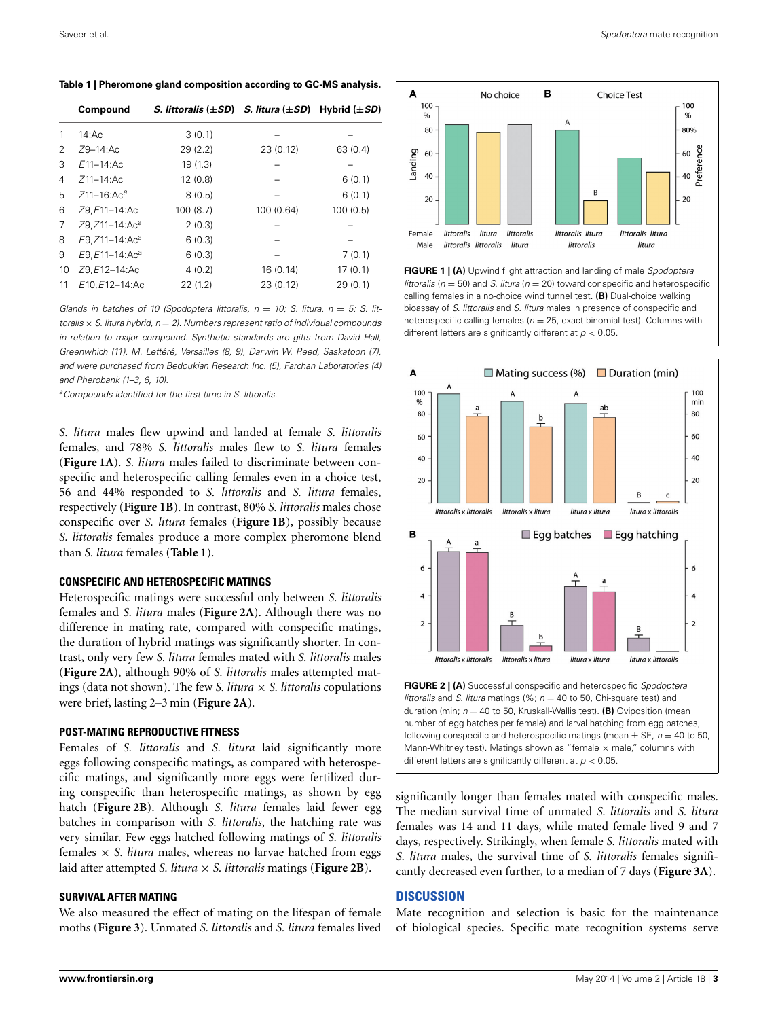<span id="page-2-0"></span>**Table 1 | Pheromone gland composition according to GC-MS analysis.**

|    | Compound                    | S. littoralis $(\pm SD)$ S. litura $(\pm SD)$ |            | Hybrid $(\pm SD)$ |
|----|-----------------------------|-----------------------------------------------|------------|-------------------|
| 1  | 14:Ас                       | 3(0.1)                                        |            |                   |
| 2  | $Z9 - 14$ :Ac               | 29(2.2)                                       | 23 (0.12)  | 63 (0.4)          |
| 3  | $E11 - 14$ : Ac             | 19(1.3)                                       |            |                   |
| 4  | $Z11 - 14$ : Ac             | 12(0.8)                                       |            | 6(0.1)            |
| 5  | $Z$ 11-16: $Ac^a$           | 8(0.5)                                        |            | 6(0.1)            |
| 6  | Z9, E11-14: Ac              | 100(8.7)                                      | 100 (0.64) | 100(0.5)          |
| 7  | Z9, Z11-14: Ac <sup>a</sup> | 2(0.3)                                        |            |                   |
| 8  | E9, Z11-14: Ac <sup>a</sup> | 6(0.3)                                        |            |                   |
| 9  | E9, E11-14: Ac <sup>a</sup> | 6(0.3)                                        |            | 7(0.1)            |
| 10 | Z9, E12-14: Ac              | 4(0.2)                                        | 16 (0.14)  | 17(0.1)           |
| 11 | E10.E12-14:Ac               | 22(1.2)                                       | 23 (0.12)  | 29(0.1)           |

*Glands in batches of 10 (Spodoptera littoralis,*  $n = 10$ *; S. litura,*  $n = 5$ *; S. littoralis* × *S. litura hybrid, n* = *2). Numbers represent ratio of individual compounds in relation to major compound. Synthetic standards are gifts from David Hall, Greenwhich (11), M. Lettéré, Versailles (8, 9), Darwin W. Reed, Saskatoon (7), and were purchased from Bedoukian Research Inc. (5), Farchan Laboratories (4) and Pherobank (1–3, 6, 10).*

*aCompounds identified for the first time in S. littoralis.*

*S. litura* males flew upwind and landed at female *S. littoralis* females, and 78% *S. littoralis* males flew to *S. litura* females (**[Figure 1A](#page-2-1)**). *S. litura* males failed to discriminate between conspecific and heterospecific calling females even in a choice test, 56 and 44% responded to *S. littoralis* and *S. litura* females, respectively (**[Figure 1B](#page-2-1)**). In contrast, 80% *S. littoralis* males chose conspecific over *S. litura* females (**[Figure 1B](#page-2-1)**), possibly because *S. littoralis* females produce a more complex pheromone blend than *S. litura* females (**[Table 1](#page-2-0)**).

#### **CONSPECIFIC AND HETEROSPECIFIC MATINGS**

Heterospecific matings were successful only between *S. littoralis* females and *S. litura* males (**[Figure 2A](#page-2-2)**). Although there was no difference in mating rate, compared with conspecific matings, the duration of hybrid matings was significantly shorter. In contrast, only very few *S. litura* females mated with *S. littoralis* males (**[Figure 2A](#page-2-2)**), although 90% of *S. littoralis* males attempted matings (data not shown). The few *S. litura* × *S. littoralis* copulations were brief, lasting 2–3 min (**[Figure 2A](#page-2-2)**).

#### **POST-MATING REPRODUCTIVE FITNESS**

Females of *S. littoralis* and *S. litura* laid significantly more eggs following conspecific matings, as compared with heterospecific matings, and significantly more eggs were fertilized during conspecific than heterospecific matings, as shown by egg hatch (**[Figure 2B](#page-2-2)**). Although *S. litura* females laid fewer egg batches in comparison with *S. littoralis*, the hatching rate was very similar. Few eggs hatched following matings of *S. littoralis* females  $\times$  *S. litura* males, whereas no larvae hatched from eggs laid after attempted *S. litura* × *S. littoralis* matings (**[Figure 2B](#page-2-2)**).

#### **SURVIVAL AFTER MATING**

We also measured the effect of mating on the lifespan of female moths (**[Figure 3](#page-3-0)**). Unmated *S. littoralis* and *S. litura* females lived



<span id="page-2-1"></span>**FIGURE 1 | (A)** Upwind flight attraction and landing of male *Spodoptera littoralis* (*n* = 50) and *S. litura* (*n* = 20) toward conspecific and heterospecific calling females in a no-choice wind tunnel test. **(B)** Dual-choice walking bioassay of *S. littoralis* and *S. litura* males in presence of conspecific and heterospecific calling females ( $n = 25$ , exact binomial test). Columns with different letters are significantly different at *p <* 0*.*05.



<span id="page-2-2"></span>**FIGURE 2 | (A)** Successful conspecific and heterospecific *Spodoptera littoralis* and *S. litura* matings (%; *n* = 40 to 50, Chi-square test) and duration (min; *n* = 40 to 50, Kruskall-Wallis test). **(B)** Oviposition (mean number of egg batches per female) and larval hatching from egg batches, following conspecific and heterospecific matings (mean  $\pm$  SE,  $n = 40$  to 50, Mann-Whitney test). Matings shown as "female  $\times$  male," columns with different letters are significantly different at *p <* 0*.*05.

significantly longer than females mated with conspecific males. The median survival time of unmated *S. littoralis* and *S. litura* females was 14 and 11 days, while mated female lived 9 and 7 days, respectively. Strikingly, when female *S. littoralis* mated with *S. litura* males, the survival time of *S. littoralis* females significantly decreased even further, to a median of 7 days (**[Figure 3A](#page-3-0)**).

#### **DISCUSSION**

Mate recognition and selection is basic for the maintenance of biological species. Specific mate recognition systems serve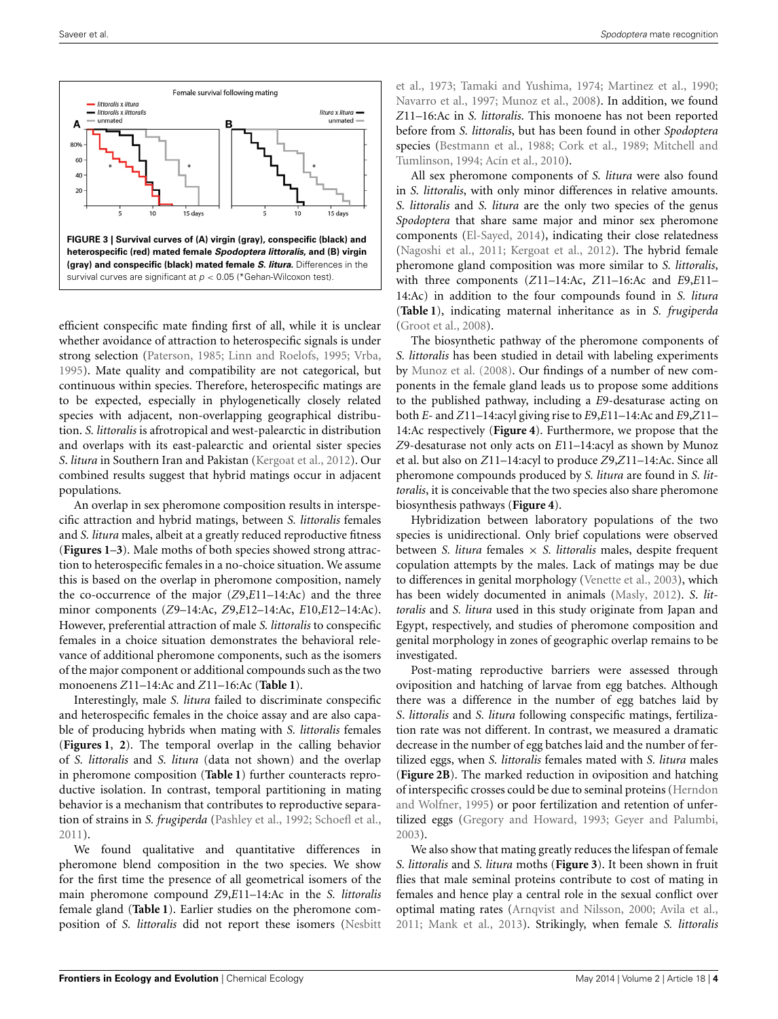

<span id="page-3-0"></span>efficient conspecific mate finding first of all, while it is unclear whether avoidance of attraction to heterospecific signals is under strong selection [\(Paterson, 1985](#page-5-0); [Linn and Roelofs, 1995;](#page-5-16) [Vrba](#page-5-17), [1995](#page-5-17)). Mate quality and compatibility are not categorical, but continuous within species. Therefore, heterospecific matings are to be expected, especially in phylogenetically closely related species with adjacent, non-overlapping geographical distribution. *S. littoralis* is afrotropical and west-palearctic in distribution and overlaps with its east-palearctic and oriental sister species *S*. *litura* in Southern Iran and Pakistan [\(Kergoat et al., 2012](#page-5-18)). Our combined results suggest that hybrid matings occur in adjacent populations.

An overlap in sex pheromone composition results in interspecific attraction and hybrid matings, between *S. littoralis* females and *S. litura* males, albeit at a greatly reduced reproductive fitness (**[Figures 1](#page-2-1)**–**[3](#page-3-0)**). Male moths of both species showed strong attraction to heterospecific females in a no-choice situation. We assume this is based on the overlap in pheromone composition, namely the co-occurrence of the major (*Z*9,*E*11–14:Ac) and the three minor components (*Z*9–14:Ac, *Z*9,*E*12–14:Ac, *E*10,*E*12–14:Ac). However, preferential attraction of male *S. littoralis* to conspecific females in a choice situation demonstrates the behavioral relevance of additional pheromone components, such as the isomers of the major component or additional compounds such as the two monoenens *Z*11–14:Ac and *Z*11–16:Ac (**[Table 1](#page-2-0)**).

Interestingly, male *S. litura* failed to discriminate conspecific and heterospecific females in the choice assay and are also capable of producing hybrids when mating with *S. littoralis* females (**[Figures 1](#page-2-1)**, **[2](#page-2-2)**). The temporal overlap in the calling behavior of *S. littoralis* and *S. litura* (data not shown) and the overlap in pheromone composition (**[Table 1](#page-2-0)**) further counteracts reproductive isolation. In contrast, temporal partitioning in mating behavior is a mechanism that contributes to reproductive separation of strains in *S. frugiperda* [\(Pashley et al., 1992;](#page-5-8) [Schoefl et al.](#page-5-19), [2011](#page-5-19)).

We found qualitative and quantitative differences in pheromone blend composition in the two species. We show for the first time the presence of all geometrical isomer[s of the](#page-5-20) main pheromone compound *Z*9,*E*11–14:Ac in the *S. littoralis* female gland (**[Table 1](#page-2-0)**). Earlier studies on the pheromone composition of *S. littoralis* did not report these isomers (Nesbitt

et al., [1973;](#page-5-20) [Tamaki and Yushima](#page-5-21), [1974;](#page-5-21) [Martinez et al.](#page-5-22), [1990](#page-5-22); [Navarro et al., 1997](#page-5-23); [Munoz et al., 2008](#page-5-24)). In addition, we found *Z*11–16:Ac in *S. littoralis*. This monoene has not been reported before from *S. littoralis*, but has been found in other *Spodoptera* species [\(Bestmann et al.](#page-4-2)[,](#page-5-26) [1988](#page-4-2)[;](#page-5-26) [Cork et al.](#page-5-25)[,](#page-5-26) [1989](#page-5-25)[;](#page-5-26) Mitchell and Tumlinson, [1994](#page-5-26); [Acín et al.](#page-4-3), [2010](#page-4-3)).

All sex pheromone components of *S. litura* were also found in *S. littoralis*, with only minor differences in relative amounts. *S. littoralis* and *S. litura* are the only two species of the genus *Spodoptera* that share same major and minor sex pheromone components [\(El-Sayed, 2014\)](#page-5-7), indicating their close relatedness [\(Nagoshi et al., 2011](#page-5-27); [Kergoat et al., 2012\)](#page-5-18). The hybrid female pheromone gland composition was more similar to *S. littoralis*, with three components (*Z*11–14:Ac, *Z*11–16:Ac and *E*9,*E*11– 14:Ac) in addition to the four compounds found in *S. litura* (**[Table 1](#page-2-0)**), indicating maternal inheritance as in *S. frugiperda* [\(Groot et al., 2008](#page-5-28)).

The biosynthetic pathway of the pheromone components of *S. littoralis* has been studied in detail with labeling experiments by [Munoz et al.](#page-5-24) [\(2008\)](#page-5-24). Our findings of a number of new components in the female gland leads us to propose some additions to the published pathway, including a *E*9-desaturase acting on both *E*- and *Z*11–14:acyl giving rise to *E*9,*E*11–14:Ac and *E*9,*Z*11– 14:Ac respectively (**[Figure 4](#page-4-4)**). Furthermore, we propose that the *Z*9-desaturase not only acts on *E*11–14:acyl as shown by Munoz et al. but also on *Z*11–14:acyl to produce *Z*9,*Z*11–14:Ac. Since all pheromone compounds produced by *S. litura* are found in *S. littoralis*, it is conceivable that the two species also share pheromone biosynthesis pathways (**[Figure 4](#page-4-4)**).

Hybridization between laboratory populations of the two species is unidirectional. Only brief copulations were observed between *S. litura* females × *S. littoralis* males, despite frequent copulation attempts by the males. Lack of matings may be due to differences in genital morphology [\(Venette et al., 2003\)](#page-5-29), which has been widely documented in animals [\(Masly](#page-5-30), [2012\)](#page-5-30). *S*. *littoralis* and *S. litura* used in this study originate from Japan and Egypt, respectively, and studies of pheromone composition and genital morphology in zones of geographic overlap remains to be investigated.

Post-mating reproductive barriers were assessed through oviposition and hatching of larvae from egg batches. Although there was a difference in the number of egg batches laid by *S*. *littoralis* and *S. litura* following conspecific matings, fertilization rate was not different. In contrast, we measured a dramatic decrease in the number of egg batches laid and the number of fertilized eggs, when *S. littoralis* females mated with *S. litura* males (**[Figure 2B](#page-2-2)**). The marked reduction in oviposition and hatching of interspeci[fic](#page-5-31) [crosses](#page-5-31) [could](#page-5-31) [be](#page-5-31) [due](#page-5-31) [to](#page-5-31) [seminal](#page-5-31) [proteins](#page-5-31) [\(](#page-5-31)Herndon and Wolfner, [1995](#page-5-31)) or poor fertilization and retention of unfertilized eggs [\(Gregory and Howard](#page-5-32), [1993;](#page-5-32) [Geyer and Palumbi](#page-5-33), [2003](#page-5-33)).

We also show that mating greatly reduces the lifespan of female *S. littoralis* and *S. litura* moths (**[Figure 3](#page-3-0)**). It been shown in fruit flies that male seminal proteins contribute to cost of mating in females and hence play a central role in the sexual conflict over optimal mating rates [\(Arnqvist and Nilsson](#page-4-5), [2000](#page-4-5); [Avila et al.](#page-4-6), [2011](#page-4-6); [Mank et al.](#page-5-34), [2013\)](#page-5-34). Strikingly, when female *S. littoralis*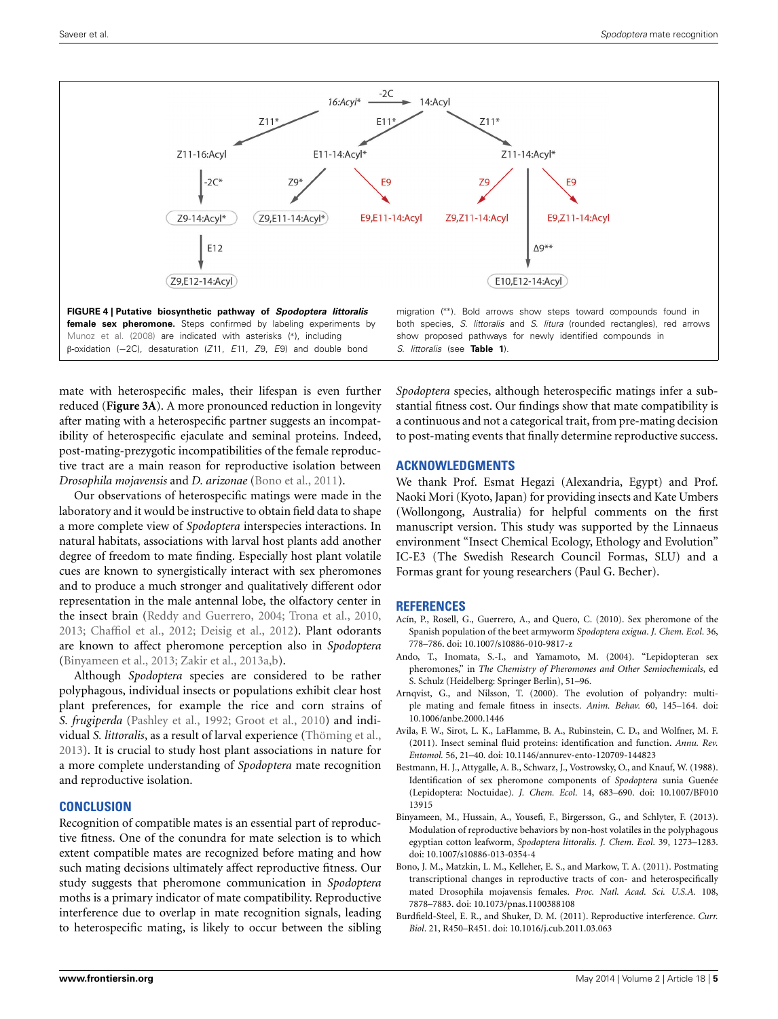

<span id="page-4-4"></span>[Munoz et al. \(2008](#page-5-24)) are indicated with asterisks (∗), including β-oxidation (−2C), desaturation (*Z*11, *E*11, *Z*9, *E*9) and double bond show proposed pathways for newly identified compounds in *S. littoralis* (see **[Table 1](#page-2-0)**).

mate with heterospecific males, their lifespan is even further reduced (**[Figure 3A](#page-3-0)**). A more pronounced reduction in longevity after mating with a heterospecific partner suggests an incompatibility of heterospecific ejaculate and seminal proteins. Indeed, post-mating-prezygotic incompatibilities of the female reproductive tract are a main reason for reproductive isolation between *Drosophila mojavensis* and *D. arizonae* [\(Bono et al., 2011\)](#page-4-7).

Our observations of heterospecific matings were made in the laboratory and it would be instructive to obtain field data to shape a more complete view of *Spodoptera* interspecies interactions. In natural habitats, associations with larval host plants add another degree of freedom to mate finding. Especially host plant volatile cues are known to synergistically interact with sex pheromones and to produce a much stronger and qualitatively different odor representation in the male antennal lobe, the olfactory center in the insect brain [\(Reddy and Guerrero](#page-5-35), [2004;](#page-5-35) [Trona et al., 2010,](#page-5-36) [2013](#page-5-37); [Chaffiol et al.](#page-5-38), [2012;](#page-5-38) [Deisig et al.](#page-5-39), [2012\)](#page-5-39). Plant odorants are known to affect pheromone perception also in *Spodoptera* [\(Binyameen et al.](#page-4-8), [2013;](#page-4-8) [Zakir et al., 2013a](#page-6-0)[,b\)](#page-6-1).

Although *Spodoptera* species are considered to be rather polyphagous, individual insects or populations exhibit clear host plant preferences, for example the rice and corn strains of *S. frugiperda* [\(Pashley et al., 1992;](#page-5-8) [Groot et al.](#page-5-40), [2010\)](#page-5-40) and individual *S. littoralis*, as a result of larval experience [\(Thöming et al.,](#page-5-41) [2013](#page-5-41)). It is crucial to study host plant associations in nature for a more complete understanding of *Spodoptera* mate recognition and reproductive isolation.

# **CONCLUSION**

Recognition of compatible mates is an essential part of reproductive fitness. One of the conundra for mate selection is to which extent compatible mates are recognized before mating and how such mating decisions ultimately affect reproductive fitness. Our study suggests that pheromone communication in *Spodoptera* moths is a primary indicator of mate compatibility. Reproductive interference due to overlap in mate recognition signals, leading to heterospecific mating, is likely to occur between the sibling

*Spodoptera* species, although heterospecific matings infer a substantial fitness cost. Our findings show that mate compatibility is a continuous and not a categorical trait, from pre-mating decision to post-mating events that finally determine reproductive success.

## **ACKNOWLEDGMENTS**

We thank Prof. Esmat Hegazi (Alexandria, Egypt) and Prof. Naoki Mori (Kyoto, Japan) for providing insects and Kate Umbers (Wollongong, Australia) for helpful comments on the first manuscript version. This study was supported by the Linnaeus environment "Insect Chemical Ecology, Ethology and Evolution" IC-E3 (The Swedish Research Council Formas, SLU) and a Formas grant for young researchers (Paul G. Becher).

## **REFERENCES**

- <span id="page-4-3"></span>Acín, P., Rosell, G., Guerrero, A., and Quero, C. (2010). Sex pheromone of the Spanish population of the beet armyworm *Spodoptera exigua*. *J. Chem. Ecol*. 36, 778–786. doi: 10.1007/s10886-010-9817-z
- <span id="page-4-0"></span>Ando, T., Inomata, S.-I., and Yamamoto, M. (2004). "Lepidopteran sex pheromones," in *The Chemistry of Pheromones and Other Semiochemicals*, ed S. Schulz (Heidelberg: Springer Berlin), 51–96.
- <span id="page-4-5"></span>Arnqvist, G., and Nilsson, T. (2000). The evolution of polyandry: multiple mating and female fitness in insects. *Anim. Behav.* 60, 145–164. doi: 10.1006/anbe.2000.1446
- <span id="page-4-6"></span>Avila, F. W., Sirot, L. K., LaFlamme, B. A., Rubinstein, C. D., and Wolfner, M. F. (2011). Insect seminal fluid proteins: identification and function. *Annu. Rev. Entomol.* 56, 21–40. doi: 10.1146/annurev-ento-120709-144823
- <span id="page-4-2"></span>Bestmann, H. J., Attygalle, A. B., Schwarz, J., Vostrowsky, O., and Knauf, W. (1988). Identification of sex pheromone components of *Spodoptera* sunia Guenée (Lepidoptera: Noctuidae). *J. Chem. Ecol*. 14, 683–690. doi: 10.1007/BF010 13915
- <span id="page-4-8"></span>Binyameen, M., Hussain, A., Yousefi, F., Birgersson, G., and Schlyter, F. (2013). Modulation of reproductive behaviors by non-host volatiles in the polyphagous egyptian cotton leafworm, *Spodoptera littoralis*. *J. Chem. Ecol*. 39, 1273–1283. doi: 10.1007/s10886-013-0354-4
- <span id="page-4-7"></span>Bono, J. M., Matzkin, L. M., Kelleher, E. S., and Markow, T. A. (2011). Postmating transcriptional changes in reproductive tracts of con- and heterospecifically mated Drosophila mojavensis females. *Proc. Natl. Acad. Sci. U.S.A.* 108, 7878–7883. doi: 10.1073/pnas.1100388108
- <span id="page-4-1"></span>Burdfield-Steel, E. R., and Shuker, D. M. (2011). Reproductive interference. *Curr. Biol*. 21, R450–R451. doi: 10.1016/j.cub.2011.03.063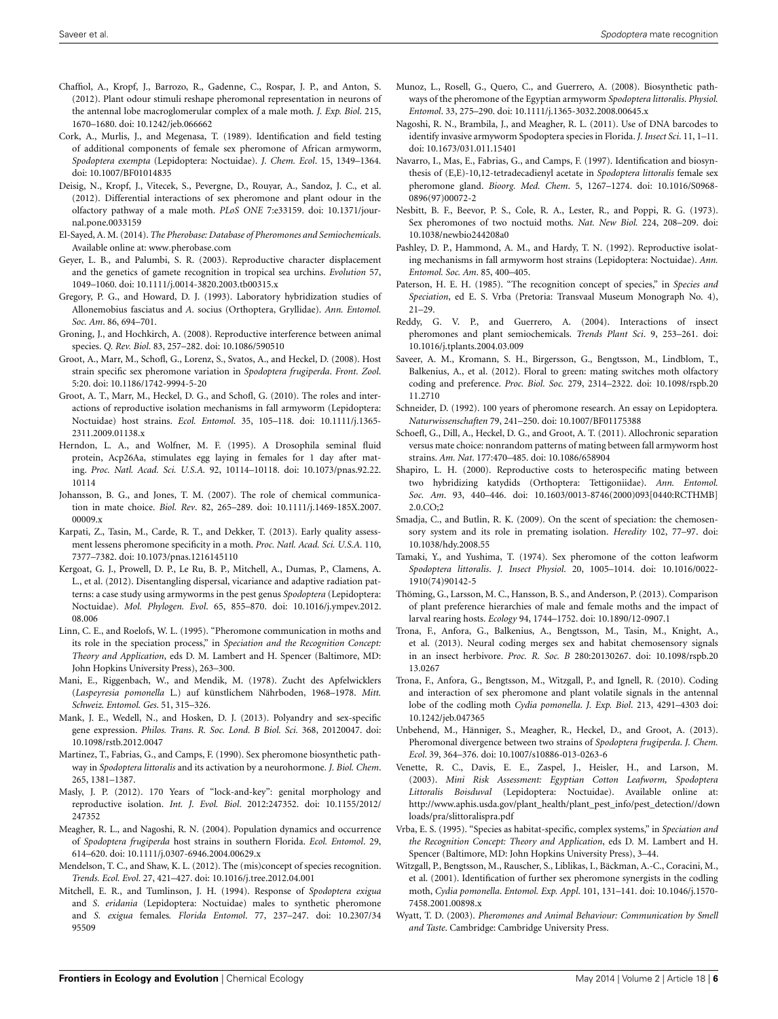- <span id="page-5-38"></span>Chaffiol, A., Kropf, J., Barrozo, R., Gadenne, C., Rospar, J. P., and Anton, S. (2012). Plant odour stimuli reshape pheromonal representation in neurons of the antennal lobe macroglomerular complex of a male moth. *J. Exp. Biol*. 215, 1670–1680. doi: 10.1242/jeb.066662
- <span id="page-5-25"></span>Cork, A., Murlis, J., and Megenasa, T. (1989). Identification and field testing of additional components of female sex pheromone of African armyworm, *Spodoptera exempta* (Lepidoptera: Noctuidae). *J. Chem. Ecol*. 15, 1349–1364. doi: 10.1007/BF01014835
- <span id="page-5-39"></span>Deisig, N., Kropf, J., Vitecek, S., Pevergne, D., Rouyar, A., Sandoz, J. C., et al. (2012). Differential interactions of sex pheromone and plant odour in the olfactory pathway of a male moth. *PLoS ONE* 7:e33159. doi: 10.1371/journal.pone.0033159
- <span id="page-5-7"></span>El-Sayed, A. M. (2014). *The Pherobase: Database of Pheromones and Semiochemicals*. Available online at: www*.*[pherobase](www.pherobase.com)*.*com
- <span id="page-5-33"></span>Geyer, L. B., and Palumbi, S. R. (2003). Reproductive character displacement and the genetics of gamete recognition in tropical sea urchins. *Evolution* 57, 1049–1060. doi: 10.1111/j.0014-3820.2003.tb00315.x
- <span id="page-5-32"></span>Gregory, P. G., and Howard, D. J. (1993). Laboratory hybridization studies of Allonemobius fasciatus and *A.* socius (Orthoptera, Gryllidae). *Ann. Entomol. Soc. Am*. 86, 694–701.
- <span id="page-5-12"></span>Groning, J., and Hochkirch, A. (2008). Reproductive interference between animal species. *Q. Rev. Biol*. 83, 257–282. doi: 10.1086/590510
- <span id="page-5-28"></span>Groot, A., Marr, M., Schofl, G., Lorenz, S., Svatos, A., and Heckel, D. (2008). Host strain specific sex pheromone variation in *Spodoptera frugiperda*. *Front. Zool*. 5:20. doi: 10.1186/1742-9994-5-20
- <span id="page-5-40"></span>Groot, A. T., Marr, M., Heckel, D. G., and Schofl, G. (2010). The roles and interactions of reproductive isolation mechanisms in fall armyworm (Lepidoptera: Noctuidae) host strains. *Ecol. Entomol*. 35, 105–118. doi: 10.1111/j.1365- 2311.2009.01138x
- <span id="page-5-31"></span>Herndon, L. A., and Wolfner, M. F. (1995). A Drosophila seminal fluid protein, Acp26Aa, stimulates egg laying in females for 1 day after mating. *Proc. Natl. Acad. Sci. U.S.A.* 92, 10114–10118. doi: 10.1073/pnas.92.22. 10114
- <span id="page-5-6"></span>Johansson, B. G., and Jones, T. M. (2007). The role of chemical communication in mate choice. *Biol. Rev*. 82, 265–289. doi: 10.1111/j.1469-185X.2007. 00009.x
- <span id="page-5-10"></span>Karpati, Z., Tasin, M., Carde, R. T., and Dekker, T. (2013). Early quality assessment lessens pheromone specificity in a moth. *Proc. Natl. Acad. Sci. U.S.A.* 110, 7377–7382. doi: 10.1073/pnas.1216145110
- <span id="page-5-18"></span>Kergoat, G. J., Prowell, D. P., Le Ru, B. P., Mitchell, A., Dumas, P., Clamens, A. L., et al. (2012). Disentangling dispersal, vicariance and adaptive radiation patterns: a case study using armyworms in the pest genus *Spodoptera* (Lepidoptera: Noctuidae). *Mol. Phylogen. Evol*. 65, 855–870. doi: 10.1016/j.ympev.2012. 08.006
- <span id="page-5-16"></span>Linn, C. E., and Roelofs, W. L. (1995). "Pheromone communication in moths and its role in the speciation process," in *Speciation and the Recognition Concept: Theory and Application*, eds D. M. Lambert and H. Spencer (Baltimore, MD: John Hopkins University Press), 263–300.
- <span id="page-5-13"></span>Mani, E., Riggenbach, W., and Mendik, M. (1978). Zucht des Apfelwicklers (*Laspeyresia pomonella* L.) auf künstlichem Nährboden, 1968–1978. *Mitt. Schweiz. Entomol. Ges*. 51, 315–326.
- <span id="page-5-34"></span>Mank, J. E., Wedell, N., and Hosken, D. J. (2013). Polyandry and sex-specific gene expression. *Philos. Trans. R. Soc. Lond. B Biol. Sci.* 368, 20120047. doi: 10.1098/rstb.2012.0047
- <span id="page-5-22"></span>Martinez, T., Fabrias, G., and Camps, F. (1990). Sex pheromone biosynthetic pathway in *Spodoptera littoralis* and its activation by a neurohormone. *J. Biol. Chem*. 265, 1381–1387.
- <span id="page-5-30"></span>Masly, J. P. (2012). 170 Years of "lock-and-key": genital morphology and reproductive isolation. *Int. J. Evol. Biol*. 2012:247352. doi: 10.1155/2012/ 247352
- <span id="page-5-9"></span>Meagher, R. L., and Nagoshi, R. N. (2004). Population dynamics and occurrence of *Spodoptera frugiperda* host strains in southern Florida. *Ecol. Entomol*. 29, 614–620. doi: 10.1111/j.0307-6946.2004.00629.x
- <span id="page-5-2"></span>Mendelson, T. C., and Shaw, K. L. (2012). The (mis)concept of species recognition. *Trends. Ecol. Evol*. 27, 421–427. doi: 10.1016/j.tree.2012.04.001
- <span id="page-5-26"></span>Mitchell, E. R., and Tumlinson, J. H. (1994). Response of *Spodoptera exigua* and *S*. *eridania* (Lepidoptera: Noctuidae) males to synthetic pheromone and *S. exigua* females*. Florida Entomol*. 77, 237–247. doi: 10.2307/34 95509
- <span id="page-5-24"></span>Munoz, L., Rosell, G., Quero, C., and Guerrero, A. (2008). Biosynthetic pathways of the pheromone of the Egyptian armyworm *Spodoptera littoralis*. *Physiol. Entomol*. 33, 275–290. doi: 10.1111/j.1365-3032.2008.00645.x
- <span id="page-5-27"></span>Nagoshi, R. N., Brambila, J., and Meagher, R. L. (2011). Use of DNA barcodes to identify invasive armyworm Spodoptera species in Florida. *J. Insect Sci*. 11, 1–11. doi: 10.1673/031.011.15401
- <span id="page-5-23"></span>Navarro, I., Mas, E., Fabrias, G., and Camps, F. (1997). Identification and biosynthesis of (E,E)-10,12-tetradecadienyl acetate in *Spodoptera littoralis* female sex pheromone gland. *Bioorg. Med. Chem*. 5, 1267–1274. doi: 10.1016/S0968- 0896(97)00072-2
- <span id="page-5-20"></span>Nesbitt, B. F., Beevor, P. S., Cole, R. A., Lester, R., and Poppi, R. G. (1973). Sex pheromones of two noctuid moths. *Nat. New Biol.* 224, 208–209. doi: 10.1038/newbio244208a0
- <span id="page-5-8"></span>Pashley, D. P., Hammond, A. M., and Hardy, T. N. (1992). Reproductive isolating mechanisms in fall armyworm host strains (Lepidoptera: Noctuidae). *Ann. Entomol. Soc. Am*. 85, 400–405.
- <span id="page-5-0"></span>Paterson, H. E. H. (1985). "The recognition concept of species," in *Species and Speciation*, ed E. S. Vrba (Pretoria: Transvaal Museum Monograph No. 4), 21–29.
- <span id="page-5-35"></span>Reddy, G. V. P., and Guerrero, A. (2004). Interactions of insect pheromones and plant semiochemicals. *Trends Plant Sci*. 9, 253–261. doi: 10.1016/j.tplants.2004.03.009
- <span id="page-5-15"></span>Saveer, A. M., Kromann, S. H., Birgersson, G., Bengtsson, M., Lindblom, T., Balkenius, A., et al. (2012). Floral to green: mating switches moth olfactory coding and preference. *Proc. Biol. Soc.* 279, 2314–2322. doi: 10.1098/rspb.20 11.2710
- <span id="page-5-5"></span>Schneider, D. (1992). 100 years of pheromone research. An essay on Lepidoptera*. Naturwissenschaften* 79, 241–250. doi: 10.1007/BF01175388
- <span id="page-5-19"></span>Schoefl, G., Dill, A., Heckel, D. G., and Groot, A. T. (2011). Allochronic separation versus mate choice: nonrandom patterns of mating between fall armyworm host strains. *Am. Nat*. 177:470–485. doi: 10.1086/658904
- <span id="page-5-1"></span>Shapiro, L. H. (2000). Reproductive costs to heterospecific mating between two hybridizing katydids (Orthoptera: Tettigoniidae). *Ann. Entomol. Soc. Am*. 93, 440–446. doi: 10.1603/0013-8746(2000)093[0440:RCTHMB]  $2.0 \text{ } CO:$
- <span id="page-5-4"></span>Smadja, C., and Butlin, R. K. (2009). On the scent of speciation: the chemosensory system and its role in premating isolation. *Heredity* 102, 77–97. doi: 10.1038/hdy.2008.55
- <span id="page-5-21"></span>Tamaki, Y., and Yushima, T. (1974). Sex pheromone of the cotton leafworm *Spodoptera littoralis*. *J. Insect Physiol*. 20, 1005–1014. doi: 10.1016/0022- 1910(74)90142-5
- <span id="page-5-41"></span>Thöming, G., Larsson, M. C., Hansson, B. S., and Anderson, P. (2013). Comparison of plant preference hierarchies of male and female moths and the impact of larval rearing hosts. *Ecology* 94, 1744–1752. doi: 10.1890/12-0907.1
- <span id="page-5-37"></span>Trona, F., Anfora, G., Balkenius, A., Bengtsson, M., Tasin, M., Knight, A., et al. (2013). Neural coding merges sex and habitat chemosensory signals in an insect herbivore. *Proc. R. Soc. B* 280:20130267. doi: 10.1098/rspb.20 13.0267
- <span id="page-5-36"></span>Trona, F., Anfora, G., Bengtsson, M., Witzgall, P., and Ignell, R. (2010). Coding and interaction of sex pheromone and plant volatile signals in the antennal lobe of the codling moth *Cydia pomonella*. *J. Exp. Biol*. 213, 4291–4303 doi: 10.1242/jeb.047365
- <span id="page-5-11"></span>Unbehend, M., Hänniger, S., Meagher, R., Heckel, D., and Groot, A. (2013). Pheromonal divergence between two strains of *Spodoptera frugiperda*. *J. Chem. Ecol*. 39, 364–376. doi: 10.1007/s10886-013-0263-6
- <span id="page-5-29"></span>Venette, R. C., Davis, E. E., Zaspel, J., Heisler, H., and Larson, M. (2003). *Mini Risk Assessment: Egyptian Cotton Leafworm, Spodoptera Littoralis Boisduval* (Lepidoptera: Noctuidae). Available online at: [http://www.aphis.usda.gov/plant\\_health/plant\\_pest\\_info/pest\\_detection//down](http://www.aphis.usda.gov/plant_health/plant_pest_info/pest_detection/downloads/pra/slittoralispra.pdf) [loads/pra/slittoralispra.pdf](http://www.aphis.usda.gov/plant_health/plant_pest_info/pest_detection/downloads/pra/slittoralispra.pdf)
- <span id="page-5-17"></span>Vrba, E. S. (1995). "Species as habitat-specific, complex systems," in *Speciation and the Recognition Concept: Theory and Application*, eds D. M. Lambert and H. Spencer (Baltimore, MD: John Hopkins University Press), 3–44.
- <span id="page-5-14"></span>Witzgall, P., Bengtsson, M., Rauscher, S., Liblikas, I., Bäckman, A.-C., Coracini, M., et al. (2001). Identification of further sex pheromone synergists in the codling moth, *Cydia pomonella*. *Entomol. Exp. Appl*. 101, 131–141. doi: 10.1046/j.1570- 7458.2001.00898.x
- <span id="page-5-3"></span>Wyatt, T. D. (2003). *Pheromones and Animal Behaviour: Communication by Smell and Taste*. Cambridge: Cambridge University Press.